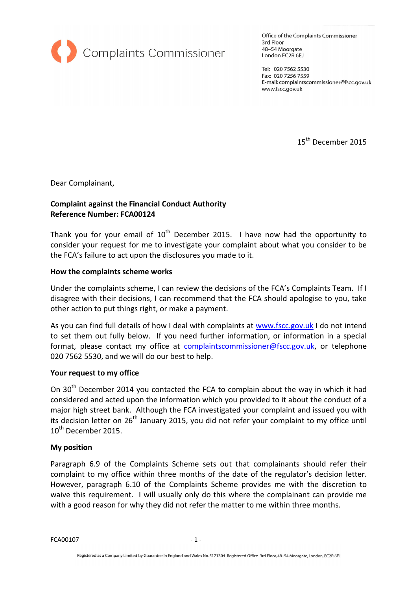

Office of the Complaints Commissioner 3rd Floor 48-54 Moorgate London EC2R 6EJ

Tel: 020 7562 5530 Fax: 020 7256 7559 E-mail: complaintscommissioner@fscc.gov.uk www.fscc.gov.uk

15<sup>th</sup> December 2015

Dear Complainant,

# Complaint against the Financial Conduct Authority Reference Number: FCA00124

Thank you for your email of  $10<sup>th</sup>$  December 2015. I have now had the opportunity to consider your request for me to investigate your complaint about what you consider to be the FCA's failure to act upon the disclosures you made to it.

#### How the complaints scheme works

Under the complaints scheme, I can review the decisions of the FCA's Complaints Team. If I disagree with their decisions, I can recommend that the FCA should apologise to you, take other action to put things right, or make a payment.

As you can find full details of how I deal with complaints at www.fscc.gov.uk I do not intend to set them out fully below. If you need further information, or information in a special format, please contact my office at complaintscommissioner@fscc.gov.uk, or telephone 020 7562 5530, and we will do our best to help.

## Your request to my office

On 30<sup>th</sup> December 2014 you contacted the FCA to complain about the way in which it had considered and acted upon the information which you provided to it about the conduct of a major high street bank. Although the FCA investigated your complaint and issued you with its decision letter on  $26<sup>th</sup>$  January 2015, you did not refer your complaint to my office until 10<sup>th</sup> December 2015.

#### My position

Paragraph 6.9 of the Complaints Scheme sets out that complainants should refer their complaint to my office within three months of the date of the regulator's decision letter. However, paragraph 6.10 of the Complaints Scheme provides me with the discretion to waive this requirement. I will usually only do this where the complainant can provide me with a good reason for why they did not refer the matter to me within three months.

FCA00107 - 1 -